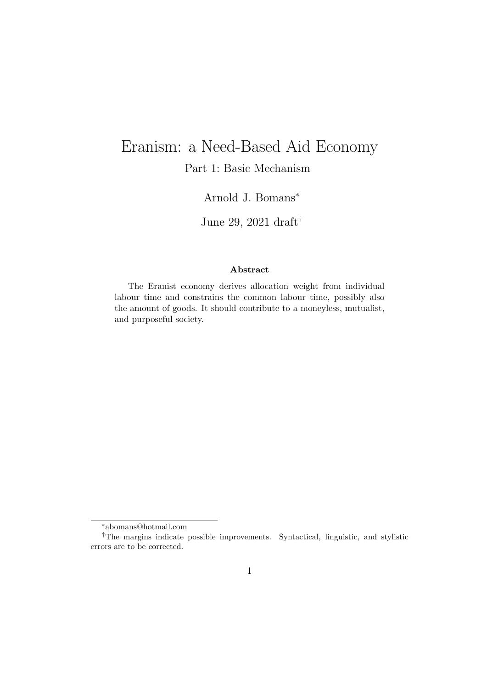# Eranism: a Need-Based Aid Economy

Part 1: Basic Mechanism

Arnold J. Bomans<sup>∗</sup>

June 29, 2021 draft†

#### Abstract

The Eranist economy derives allocation weight from individual labour time and constrains the common labour time, possibly also the amount of goods. It should contribute to a moneyless, mutualist, and purposeful society.

<sup>∗</sup>abomans@hotmail.com

<sup>†</sup>The margins indicate possible improvements. Syntactical, linguistic, and stylistic errors are to be corrected.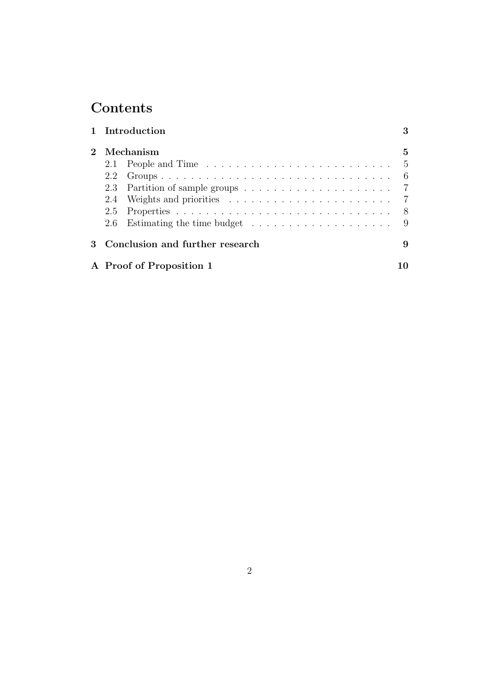## **Contents**

|              | 1 Introduction                  |                                                                              |     |  |
|--------------|---------------------------------|------------------------------------------------------------------------------|-----|--|
|              | Mechanism                       |                                                                              |     |  |
|              |                                 | 2.1 People and Time                                                          | - 5 |  |
|              | 2.2                             |                                                                              | - 6 |  |
|              |                                 |                                                                              |     |  |
|              | 2.4                             |                                                                              |     |  |
|              |                                 |                                                                              |     |  |
|              | 2.6                             | Estimating the time budget $\dots \dots \dots \dots \dots \dots \dots \dots$ |     |  |
| $\mathbf{3}$ | Conclusion and further research |                                                                              | 9   |  |
|              |                                 | A Proof of Proposition 1                                                     |     |  |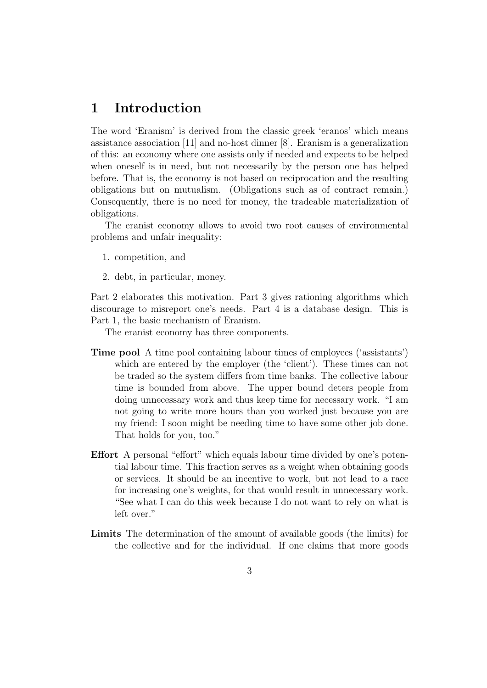## 1 Introduction

The word 'Eranism' is derived from the classic greek 'eranos' which means assistance association [11] and no-host dinner [8]. Eranism is a generalization of this: an economy where one assists only if needed and expects to be helped when oneself is in need, but not necessarily by the person one has helped before. That is, the economy is not based on reciprocation and the resulting obligations but on mutualism. (Obligations such as of contract remain.) Consequently, there is no need for money, the tradeable materialization of obligations.

The eranist economy allows to avoid two root causes of environmental problems and unfair inequality:

- 1. competition, and
- 2. debt, in particular, money.

Part 2 elaborates this motivation. Part 3 gives rationing algorithms which discourage to misreport one's needs. Part 4 is a database design. This is Part 1, the basic mechanism of Eranism.

The eranist economy has three components.

- Time pool A time pool containing labour times of employees ('assistants') which are entered by the employer (the 'client'). These times can not be traded so the system differs from time banks. The collective labour time is bounded from above. The upper bound deters people from doing unnecessary work and thus keep time for necessary work. "I am not going to write more hours than you worked just because you are my friend: I soon might be needing time to have some other job done. That holds for you, too."
- Effort A personal "effort" which equals labour time divided by one's potential labour time. This fraction serves as a weight when obtaining goods or services. It should be an incentive to work, but not lead to a race for increasing one's weights, for that would result in unnecessary work. "See what I can do this week because I do not want to rely on what is left over."
- Limits The determination of the amount of available goods (the limits) for the collective and for the individual. If one claims that more goods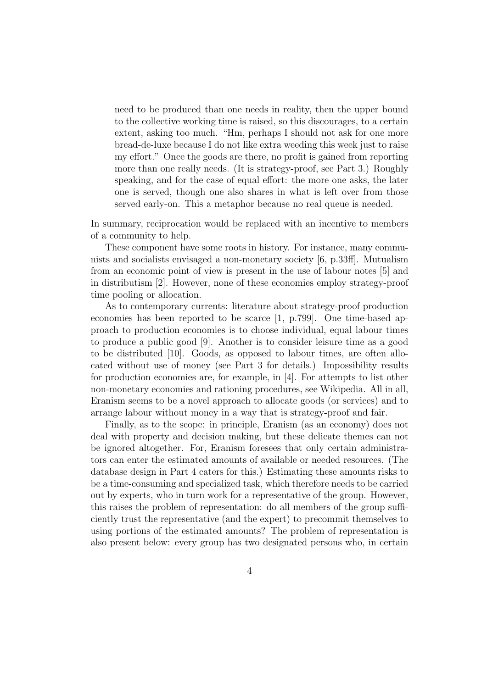need to be produced than one needs in reality, then the upper bound to the collective working time is raised, so this discourages, to a certain extent, asking too much. "Hm, perhaps I should not ask for one more bread-de-luxe because I do not like extra weeding this week just to raise my effort." Once the goods are there, no profit is gained from reporting more than one really needs. (It is strategy-proof, see Part 3.) Roughly speaking, and for the case of equal effort: the more one asks, the later one is served, though one also shares in what is left over from those served early-on. This a metaphor because no real queue is needed.

In summary, reciprocation would be replaced with an incentive to members of a community to help.

These component have some roots in history. For instance, many communists and socialists envisaged a non-monetary society [6, p.33ff]. Mutualism from an economic point of view is present in the use of labour notes [5] and in distributism [2]. However, none of these economies employ strategy-proof time pooling or allocation.

As to contemporary currents: literature about strategy-proof production economies has been reported to be scarce [1, p.799]. One time-based approach to production economies is to choose individual, equal labour times to produce a public good [9]. Another is to consider leisure time as a good to be distributed [10]. Goods, as opposed to labour times, are often allocated without use of money (see Part 3 for details.) Impossibility results for production economies are, for example, in [4]. For attempts to list other non-monetary economies and rationing procedures, see Wikipedia. All in all, Eranism seems to be a novel approach to allocate goods (or services) and to arrange labour without money in a way that is strategy-proof and fair.

Finally, as to the scope: in principle, Eranism (as an economy) does not deal with property and decision making, but these delicate themes can not be ignored altogether. For, Eranism foresees that only certain administrators can enter the estimated amounts of available or needed resources. (The database design in Part 4 caters for this.) Estimating these amounts risks to be a time-consuming and specialized task, which therefore needs to be carried out by experts, who in turn work for a representative of the group. However, this raises the problem of representation: do all members of the group sufficiently trust the representative (and the expert) to precommit themselves to using portions of the estimated amounts? The problem of representation is also present below: every group has two designated persons who, in certain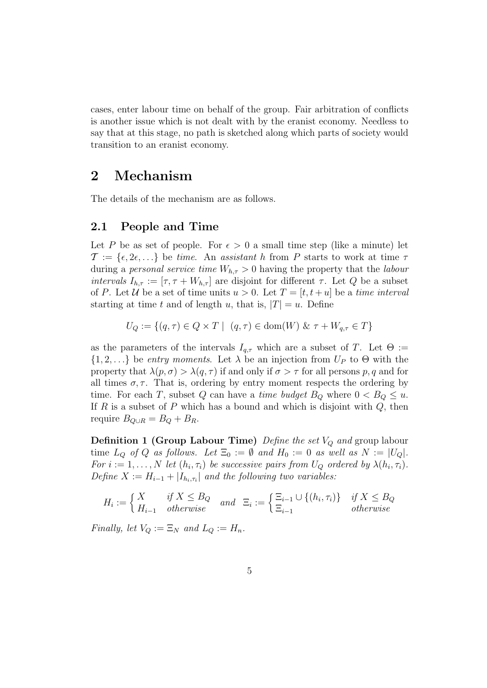cases, enter labour time on behalf of the group. Fair arbitration of conflicts is another issue which is not dealt with by the eranist economy. Needless to say that at this stage, no path is sketched along which parts of society would transition to an eranist economy.

## 2 Mechanism

The details of the mechanism are as follows.

#### 2.1 People and Time

Let P be as set of people. For  $\epsilon > 0$  a small time step (like a minute) let  $\mathcal{T} := \{\epsilon, 2\epsilon, ...\}$  be time. An assistant h from P starts to work at time  $\tau$ during a *personal service time*  $W_{h,\tau} > 0$  having the property that the *labour* intervals  $I_{h,\tau} := [\tau, \tau + W_{h,\tau}]$  are disjoint for different  $\tau$ . Let Q be a subset of P. Let U be a set of time units  $u > 0$ . Let  $T = [t, t + u]$  be a time interval starting at time t and of length u, that is,  $|T| = u$ . Define

$$
U_Q := \{ (q, \tau) \in Q \times T \mid (q, \tau) \in \text{dom}(W) \& \tau + W_{q, \tau} \in T \}
$$

as the parameters of the intervals  $I_{q,\tau}$  which are a subset of T. Let  $\Theta :=$  $\{1, 2, ...\}$  be entry moments. Let  $\lambda$  be an injection from  $U_P$  to  $\Theta$  with the property that  $\lambda(p,\sigma) > \lambda(q,\tau)$  if and only if  $\sigma > \tau$  for all persons p, q and for all times  $\sigma$ ,  $\tau$ . That is, ordering by entry moment respects the ordering by time. For each T, subset Q can have a *time budget*  $B_Q$  where  $0 < B_Q \le u$ . If  $R$  is a subset of  $P$  which has a bound and which is disjoint with  $Q$ , then require  $B_{Q\cup R} = B_Q + B_R$ .

**Definition 1 (Group Labour Time)** Define the set  $V_Q$  and group labour time  $L_Q$  of Q as follows. Let  $\Xi_0 := \emptyset$  and  $H_0 := 0$  as well as  $N := |U_Q|$ . For  $i := 1, ..., N$  let  $(h_i, \tau_i)$  be successive pairs from  $U_Q$  ordered by  $\lambda(h_i, \tau_i)$ . Define  $X := H_{i-1} + |I_{h_i, \tau_i}|$  and the following two variables:

$$
H_i := \begin{cases} X & \text{if } X \leq B_Q \\ H_{i-1} & \text{otherwise} \end{cases} \text{ and } \Xi_i := \begin{cases} \Xi_{i-1} \cup \{(h_i, \tau_i)\} & \text{if } X \leq B_Q \\ \Xi_{i-1} & \text{otherwise} \end{cases}
$$

Finally, let  $V_Q := \Xi_N$  and  $L_Q := H_n$ .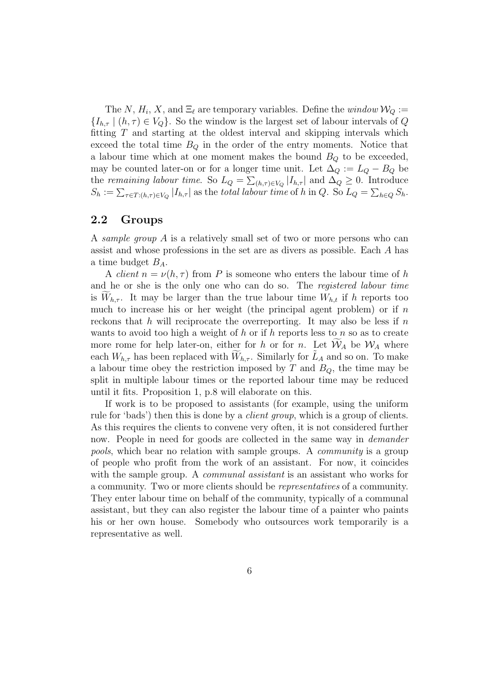The N,  $H_i$ , X, and  $\Xi_\ell$  are temporary variables. Define the window  $\mathcal{W}_Q :=$  ${I_{h,\tau} | (h,\tau) \in V_Q}$ . So the window is the largest set of labour intervals of Q fitting  $T$  and starting at the oldest interval and skipping intervals which exceed the total time  $B_Q$  in the order of the entry moments. Notice that a labour time which at one moment makes the bound  $B_Q$  to be exceeded, may be counted later-on or for a longer time unit. Let  $\Delta_Q := L_Q - B_Q$  be the remaining labour time. So  $L_Q = \sum_{(h,\tau) \in V_Q} |I_{h,\tau}|$  and  $\Delta_Q \geq 0$ . Introduce  $S_h := \sum_{\tau \in T: (h,\tau) \in V_Q} |I_{h,\tau}|$  as the total labour time of h in Q. So  $L_Q = \sum_{h \in Q} S_h$ .

#### 2.2 Groups

A sample group A is a relatively small set of two or more persons who can assist and whose professions in the set are as divers as possible. Each A has a time budget  $B_A$ .

A *client*  $n = \nu(h, \tau)$  from P is someone who enters the labour time of h and he or she is the only one who can do so. The registered labour time is  $W_{h,\tau}$ . It may be larger than the true labour time  $W_{h,t}$  if h reports too much to increase his or her weight (the principal agent problem) or if  $n$ reckons that h will reciprocate the overreporting. It may also be less if  $n$ wants to avoid too high a weight of h or if h reports less to n so as to create more rome for help later-on, either for h or for n. Let  $W_A$  be  $W_A$  where each  $W_{h,\tau}$  has been replaced with  $\widetilde{W}_{h,\tau}$ . Similarly for  $\widetilde{L}_A$  and so on. To make a labour time obey the restriction imposed by  $T$  and  $B_Q$ , the time may be split in multiple labour times or the reported labour time may be reduced until it fits. Proposition 1, p.8 will elaborate on this.

If work is to be proposed to assistants (for example, using the uniform rule for 'bads') then this is done by a client group, which is a group of clients. As this requires the clients to convene very often, it is not considered further now. People in need for goods are collected in the same way in *demander* pools, which bear no relation with sample groups. A community is a group of people who profit from the work of an assistant. For now, it coincides with the sample group. A *communal assistant* is an assistant who works for a community. Two or more clients should be representatives of a community. They enter labour time on behalf of the community, typically of a communal assistant, but they can also register the labour time of a painter who paints his or her own house. Somebody who outsources work temporarily is a representative as well.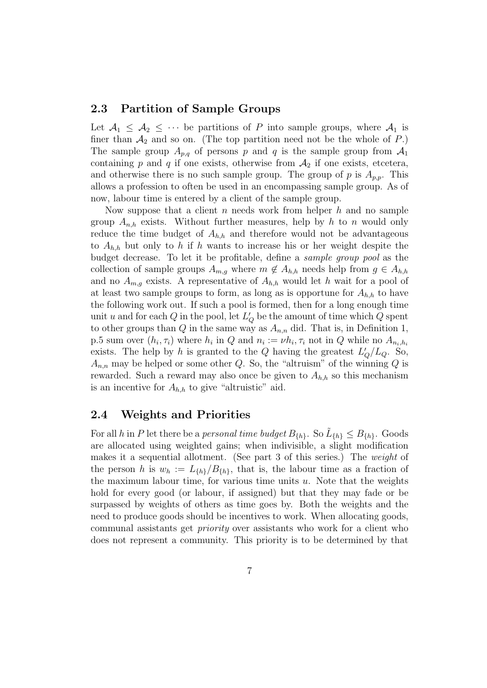#### 2.3 Partition of Sample Groups

Let  $A_1 \leq A_2 \leq \cdots$  be partitions of P into sample groups, where  $A_1$  is finer than  $A_2$  and so on. (The top partition need not be the whole of P.) The sample group  $A_{p,q}$  of persons p and q is the sample group from  $A_1$ containing p and q if one exists, otherwise from  $A_2$  if one exists, etcetera, and otherwise there is no such sample group. The group of p is  $A_{n,p}$ . This allows a profession to often be used in an encompassing sample group. As of now, labour time is entered by a client of the sample group.

Now suppose that a client n needs work from helper  $h$  and no sample group  $A_{n,h}$  exists. Without further measures, help by h to n would only reduce the time budget of  $A_{h,h}$  and therefore would not be advantageous to  $A_{h,h}$  but only to h if h wants to increase his or her weight despite the budget decrease. To let it be profitable, define a sample group pool as the collection of sample groups  $A_{m,g}$  where  $m \notin A_{h,h}$  needs help from  $g \in A_{h,h}$ and no  $A_{m,g}$  exists. A representative of  $A_{h,h}$  would let h wait for a pool of at least two sample groups to form, as long as is opportune for  $A_{h,h}$  to have the following work out. If such a pool is formed, then for a long enough time unit u and for each Q in the pool, let  $L'_{Q}$  be the amount of time which Q spent to other groups than Q in the same way as  $A_{n,n}$  did. That is, in Definition 1, p.5 sum over  $(h_i, \tau_i)$  where  $h_i$  in Q and  $n_i := \nu h_i, \tau_i$  not in Q while no  $A_{n_i, h_i}$ exists. The help by h is granted to the Q having the greatest  $L'_Q/L_Q$ . So,  $A_{n,n}$  may be helped or some other Q. So, the "altruism" of the winning Q is rewarded. Such a reward may also once be given to  $A_{h,h}$  so this mechanism is an incentive for  $A_{h,h}$  to give "altruistic" aid.

#### 2.4 Weights and Priorities

For all h in P let there be a personal time budget  $B_{\{h\}}$ . So  $\tilde{L}_{\{h\}} \leq B_{\{h\}}$ . Goods are allocated using weighted gains; when indivisible, a slight modification makes it a sequential allotment. (See part 3 of this series.) The *weight* of the person h is  $w_h := L_{\{h\}}/B_{\{h\}}$ , that is, the labour time as a fraction of the maximum labour time, for various time units  $u$ . Note that the weights hold for every good (or labour, if assigned) but that they may fade or be surpassed by weights of others as time goes by. Both the weights and the need to produce goods should be incentives to work. When allocating goods, communal assistants get priority over assistants who work for a client who does not represent a community. This priority is to be determined by that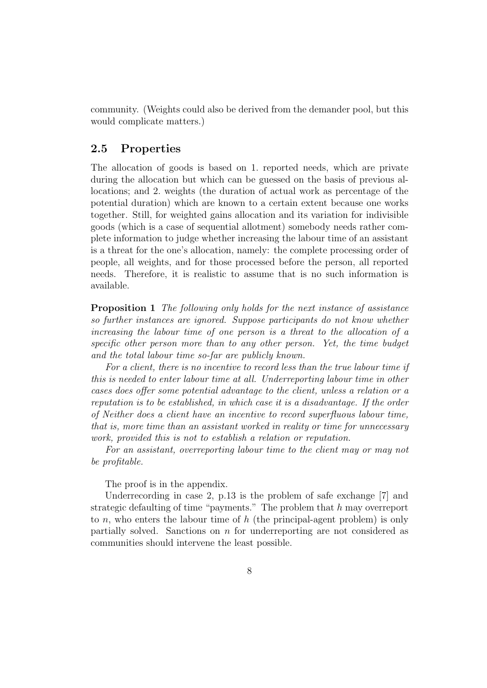community. (Weights could also be derived from the demander pool, but this would complicate matters.)

#### 2.5 Properties

The allocation of goods is based on 1. reported needs, which are private during the allocation but which can be guessed on the basis of previous allocations; and 2. weights (the duration of actual work as percentage of the potential duration) which are known to a certain extent because one works together. Still, for weighted gains allocation and its variation for indivisible goods (which is a case of sequential allotment) somebody needs rather complete information to judge whether increasing the labour time of an assistant is a threat for the one's allocation, namely: the complete processing order of people, all weights, and for those processed before the person, all reported needs. Therefore, it is realistic to assume that is no such information is available.

Proposition 1 The following only holds for the next instance of assistance so further instances are ignored. Suppose participants do not know whether increasing the labour time of one person is a threat to the allocation of a specific other person more than to any other person. Yet, the time budget and the total labour time so-far are publicly known.

For a client, there is no incentive to record less than the true labour time if this is needed to enter labour time at all. Underreporting labour time in other cases does offer some potential advantage to the client, unless a relation or a reputation is to be established, in which case it is a disadvantage. If the order of Neither does a client have an incentive to record superfluous labour time, that is, more time than an assistant worked in reality or time for unnecessary work, provided this is not to establish a relation or reputation.

For an assistant, overreporting labour time to the client may or may not be profitable.

The proof is in the appendix.

Underrecording in case 2, p.13 is the problem of safe exchange [7] and strategic defaulting of time "payments." The problem that h may overreport to n, who enters the labour time of  $h$  (the principal-agent problem) is only partially solved. Sanctions on  $n$  for underreporting are not considered as communities should intervene the least possible.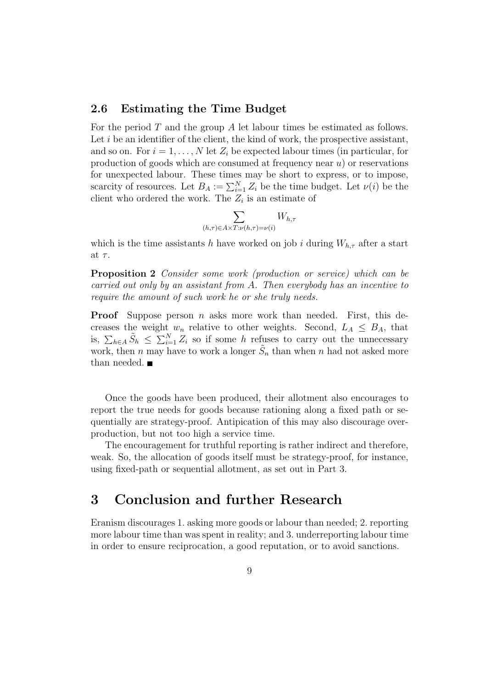#### 2.6 Estimating the Time Budget

For the period T and the group A let labour times be estimated as follows. Let  $i$  be an identifier of the client, the kind of work, the prospective assistant, and so on. For  $i = 1, \ldots, N$  let  $Z_i$  be expected labour times (in particular, for production of goods which are consumed at frequency near  $u$ ) or reservations for unexpected labour. These times may be short to express, or to impose, scarcity of resources. Let  $B_A := \sum_{i=1}^N Z_i$  be the time budget. Let  $\nu(i)$  be the client who ordered the work. The  $Z_i$  is an estimate of

$$
\sum_{(h,\tau)\in A\times T:\nu(h,\tau)=\nu(i)} W_{h,\tau}
$$

which is the time assistants h have worked on job i during  $W_{h,\tau}$  after a start at  $\tau$ .

Proposition 2 Consider some work (production or service) which can be carried out only by an assistant from A. Then everybody has an incentive to require the amount of such work he or she truly needs.

**Proof** Suppose person *n* asks more work than needed. First, this decreases the weight  $w_n$  relative to other weights. Second,  $L_A \leq B_A$ , that is,  $\sum_{h\in A} \tilde{S}_h \leq \sum_{i=1}^N Z_i$  so if some h refuses to carry out the unnecessary work, then n may have to work a longer  $\tilde{S}_n$  than when n had not asked more than needed.

Once the goods have been produced, their allotment also encourages to report the true needs for goods because rationing along a fixed path or sequentially are strategy-proof. Antipication of this may also discourage overproduction, but not too high a service time.

The encouragement for truthful reporting is rather indirect and therefore, weak. So, the allocation of goods itself must be strategy-proof, for instance, using fixed-path or sequential allotment, as set out in Part 3.

## 3 Conclusion and further Research

Eranism discourages 1. asking more goods or labour than needed; 2. reporting more labour time than was spent in reality; and 3. underreporting labour time in order to ensure reciprocation, a good reputation, or to avoid sanctions.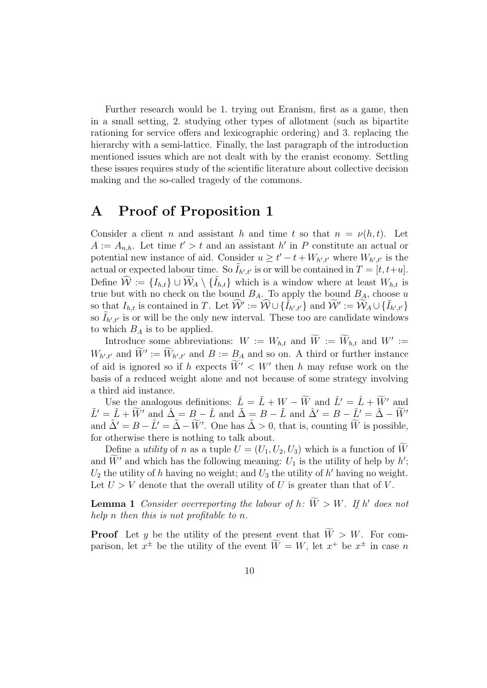Further research would be 1. trying out Eranism, first as a game, then in a small setting, 2. studying other types of allotment (such as bipartite rationing for service offers and lexicographic ordering) and 3. replacing the hierarchy with a semi-lattice. Finally, the last paragraph of the introduction mentioned issues which are not dealt with by the eranist economy. Settling these issues requires study of the scientific literature about collective decision making and the so-called tragedy of the commons.

## A Proof of Proposition 1

Consider a client n and assistant h and time t so that  $n = \nu(h, t)$ . Let  $A := A_{n,h}$ . Let time  $t' > t$  and an assistant h' in P constitute an actual or potential new instance of aid. Consider  $u \geq t'-t+W_{h',t'}$  where  $W_{h',t'}$  is the actual or expected labour time. So  $\tilde{I}_{h',t'}$  is or will be contained in  $T = [t, t+u]$ . Define  $\widehat{W} := \{I_{h,t}\} \cup \widetilde{W}_A \setminus \{\widetilde{I}_{h,t}\}\$  which is a window where at least  $W_{h,t}$  is true but with no check on the bound  $B_A$ . To apply the bound  $B_A$ , choose u so that  $I_{h,t}$  is contained in T. Let  $\widehat{W}' := \widehat{W} \cup \{ \tilde{I}_{h',t'} \}$  and  $\widetilde{W}' := \widetilde{W}_A \cup \{ \tilde{I}_{h',t'} \}$ so  $\tilde{I}_{h',t'}$  is or will be the only new interval. These too are candidate windows to which  $B_A$  is to be applied.

Introduce some abbreviations:  $W := W_{h,t}$  and  $\widetilde{W} := \widetilde{W}_{h,t}$  and  $W' :=$  $W_{h',t'}$  and  $\widetilde{W}' := \widetilde{W}_{h',t'}$  and  $B := \underline{B}_A$  and so on. A third or further instance of aid is ignored so if h expects  $\widetilde{W}' < W'$  then h may refuse work on the basis of a reduced weight alone and not because of some strategy involving a third aid instance.

Use the analogous definitions:  $\hat{L} = \tilde{L} + W - \widetilde{W}$  and  $\hat{L}' = \hat{L} + \widetilde{W}'$  and  $\tilde{L}' = \tilde{L} + \widetilde{W}'$  and  $\tilde{\Delta} = B - \tilde{L}$  and  $\tilde{\Delta}' = B - \tilde{L}$  and  $\tilde{\Delta}' = B - \tilde{L}' = \tilde{\Delta} - \widetilde{W}'$ and  $\tilde{\Delta}' = B - \tilde{L}' = \tilde{\Delta} - \tilde{W}'$ . One has  $\tilde{\Delta} > 0$ , that is, counting  $\tilde{W}$  is possible, for otherwise there is nothing to talk about.

Define a *utility* of n as a tuple  $U = (U_1, U_2, U_3)$  which is a function of W and  $\widetilde{W}'$  and which has the following meaning:  $U_1$  is the utility of help by h';  $U_2$  the utility of h having no weight; and  $U_3$  the utility of h' having no weight. Let  $U > V$  denote that the overall utility of U is greater than that of V.

**Lemma 1** Consider overreporting the labour of h:  $\widetilde{W} > W$ . If h' does not help n then this is not profitable to n.

**Proof** Let y be the utility of the present event that  $\widetilde{W} > W$ . For comparison, let  $x^{\pm}$  be the utility of the event  $\widetilde{W} = W$ , let  $x^{+}$  be  $x^{\pm}$  in case n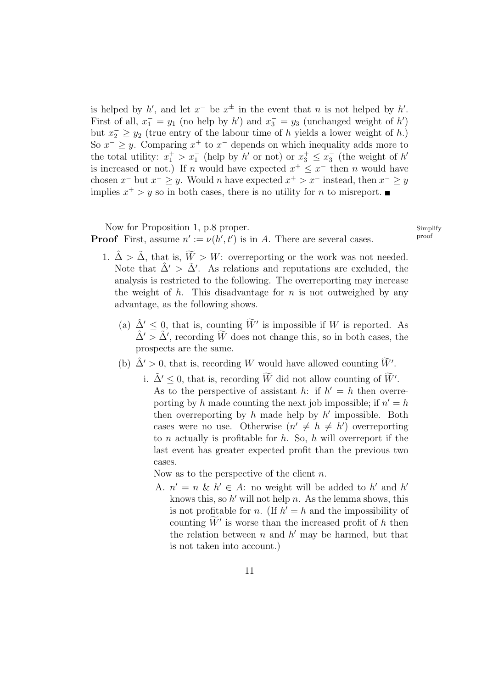is helped by h', and let  $x^-$  be  $x^{\pm}$  in the event that n is not helped by h'. First of all,  $x_1^- = y_1$  (no help by h') and  $x_3^- = y_3$  (unchanged weight of h') but  $x_2 \ge y_2$  (true entry of the labour time of h yields a lower weight of h.) So  $x^{-} \geq y$ . Comparing  $x^{+}$  to  $x^{-}$  depends on which inequality adds more to the total utility:  $x_1^+ > x_1^-$  (help by h' or not) or  $x_3^+ \le x_3^ \overline{3}$  (the weight of  $h'$ is increased or not.) If n would have expected  $x^+ \leq x^-$  then n would have chosen  $x^-$  but  $x^- \geq y$ . Would n have expected  $x^+ > x^-$  instead, then  $x^- \geq y$ implies  $x^+ > y$  so in both cases, there is no utility for *n* to misreport.

#### Now for Proposition 1, p.8 proper.<br>
Simplify<br>  $\sum_{i=1}^{n}$   $\sum_{i=1}^{n}$   $\sum_{i=1}^{n}$   $\sum_{i=1}^{n}$   $\sum_{i=1}^{n}$   $\sum_{i=1}^{n}$   $\sum_{i=1}^{n}$   $\sum_{i=1}^{n}$   $\sum_{i=1}^{n}$   $\sum_{i=1}^{n}$   $\sum_{i=1}^{n}$   $\sum_{i=1}^{n}$   $\sum_{i=1}^{n}$   $\sum_{i=$ **Proof** First, assume  $n' := \nu(h', t')$  is in A. There are several cases.

- 1.  $\hat{\Delta} > \tilde{\Delta}$ , that is,  $\widetilde{W} > W$ : overreporting or the work was not needed. Note that  $\hat{\Delta}' > \tilde{\Delta}'$ . As relations and reputations are excluded, the analysis is restricted to the following. The overreporting may increase the weight of  $h$ . This disadvantage for  $n$  is not outweighed by any advantage, as the following shows.
	- (a)  $\hat{\Delta}' \leq 0$ , that is, counting  $\widetilde{W}'$  is impossible if W is reported. As  $\hat{\Delta}' > \tilde{\Delta}'$ , recording  $\widetilde{W}$  does not change this, so in both cases, the prospects are the same.
	- (b)  $\hat{\Delta}' > 0$ , that is, recording W would have allowed counting  $\widetilde{W}'$ .
		- i.  $\tilde{\Delta}' \leq 0$ , that is, recording  $\widetilde{W}$  did not allow counting of  $\widetilde{W}'$ . As to the perspective of assistant h: if  $h' = h$  then overreporting by h made counting the next job impossible; if  $n' = h$ then overreporting by  $h$  made help by  $h'$  impossible. Both cases were no use. Otherwise  $(n' \neq h \neq h')$  overreporting to  $n$  actually is profitable for  $h$ . So,  $h$  will overreport if the last event has greater expected profit than the previous two cases.

Now as to the perspective of the client  $n$ .

A.  $n' = n \& k' \in A$ : no weight will be added to h' and h' knows this, so  $h'$  will not help n. As the lemma shows, this is not profitable for *n*. (If  $h' = h$  and the impossibility of counting  $\widetilde{W}'$  is worse than the increased profit of h then the relation between  $n$  and  $h'$  may be harmed, but that is not taken into account.)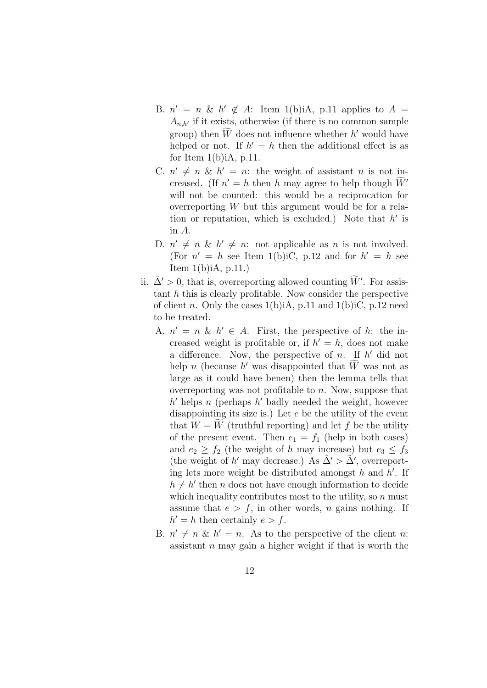- B.  $n' = n \& k' \notin A$ : Item 1(b)iA, p.11 applies to  $A =$  $A_{n,h'}$  if it exists, otherwise (if there is no common sample group) then  $\widetilde{W}$  does not influence whether  $h'$  would have helped or not. If  $h' = h$  then the additional effect is as for Item  $1(b)$ iA, p.11.
- C.  $n' \neq n \& k' = n$ : the weight of assistant n is not increased. (If  $n' = h$  then h may agree to help though  $\widetilde{W}'$ will not be counted: this would be a reciprocation for overreporting  $W$  but this argument would be for a relation or reputation, which is excluded.) Note that  $h'$  is in A.
- D.  $n' \neq n \& k' \neq n$ : not applicable as n is not involved. (For  $n' = h$  see Item 1(b)iC, p.12 and for  $h' = h$  see Item 1(b)iA, p.11.)
- ii.  $\tilde{\Delta}' > 0$ , that is, overreporting allowed counting  $\widetilde{W}'$ . For assistant  $h$  this is clearly profitable. Now consider the perspective of client n. Only the cases  $1(b)$ iA, p.11 and  $1(b)$ iC, p.12 need to be treated.
	- A.  $n' = n \& k' \in A$ . First, the perspective of h: the increased weight is profitable or, if  $h' = h$ , does not make a difference. Now, the perspective of  $n$ . If  $h'$  did not help n (because h' was disappointed that  $\widetilde{W}$  was not as large as it could have benen) then the lemma tells that overreporting was not profitable to  $n$ . Now, suppose that  $h'$  helps n (perhaps  $h'$  badly needed the weight, however disappointing its size is.) Let e be the utility of the event that  $W = W$  (truthful reporting) and let f be the utility of the present event. Then  $e_1 = f_1$  (help in both cases) and  $e_2 \ge f_2$  (the weight of h may increase) but  $e_3 \le f_3$ (the weight of h' may decrease.) As  $\hat{\Delta}' > \tilde{\Delta}'$ , overreporting lets more weight be distributed amongst  $h$  and  $h'$ . If  $h \neq h'$  then n does not have enough information to decide which inequality contributes most to the utility, so  $n$  must assume that  $e > f$ , in other words, n gains nothing. If  $h' = h$  then certainly  $e > f$ .
	- B.  $n' \neq n \& k' = n$ . As to the perspective of the client n: assistant  $n$  may gain a higher weight if that is worth the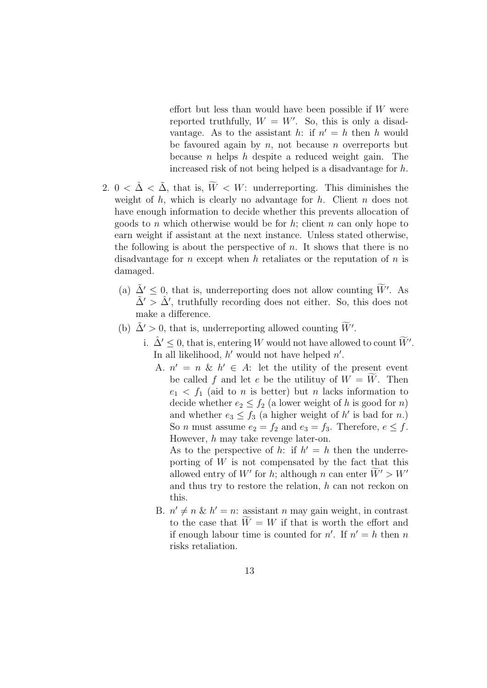effort but less than would have been possible if  $W$  were reported truthfully,  $W = W'$ . So, this is only a disadvantage. As to the assistant h: if  $n' = h$  then h would be favoured again by  $n$ , not because  $n$  overreports but because  $n$  helps  $h$  despite a reduced weight gain. The increased risk of not being helped is a disadvantage for h.

- 2.  $0 < \hat{\Delta} < \tilde{\Delta}$ , that is,  $\tilde{W} < W$ : underreporting. This diminishes the weight of  $h$ , which is clearly no advantage for  $h$ . Client  $n$  does not have enough information to decide whether this prevents allocation of goods to n which otherwise would be for  $h$ ; client  $n$  can only hope to earn weight if assistant at the next instance. Unless stated otherwise, the following is about the perspective of  $n$ . It shows that there is no disadvantage for n except when h retaliates or the reputation of  $n$  is damaged.
	- (a)  $\tilde{\Delta}' \leq 0$ , that is, underreporting does not allow counting  $\tilde{W}'$ . As  $\tilde{\Delta}' > \tilde{\Delta}'$ , truthfully recording does not either. So, this does not make a difference.
	- (b)  $\tilde{\Delta}' > 0$ , that is, underreporting allowed counting  $\widetilde{W}'$ .
		- i.  $\hat{\Delta}' \leq 0$ , that is, entering W would not have allowed to count  $\widetilde{W}'$ . In all likelihood,  $h'$  would not have helped  $n'$ .
			- A.  $n' = n \& k' \in A$ : let the utility of the present event be called f and let e be the utility of  $W = W$ . Then  $e_1 < f_1$  (aid to n is better) but n lacks information to decide whether  $e_2 \n\t\le f_2$  (a lower weight of h is good for n) and whether  $e_3 \n\t\le f_3$  (a higher weight of h' is bad for n.) So *n* must assume  $e_2 = f_2$  and  $e_3 = f_3$ . Therefore,  $e \leq f$ . However, h may take revenge later-on.

As to the perspective of h: if  $h' = h$  then the underreporting of  $W$  is not compensated by the fact that this allowed entry of  $W'$  for  $h$ ; although  $n$  can enter  $\widetilde{W}' > W'$ and thus try to restore the relation, h can not reckon on this.

B.  $n' \neq n \& k' = n$ : assistant n may gain weight, in contrast to the case that  $\widetilde{W} = W$  if that is worth the effort and if enough labour time is counted for  $n'$ . If  $n' = h$  then n risks retaliation.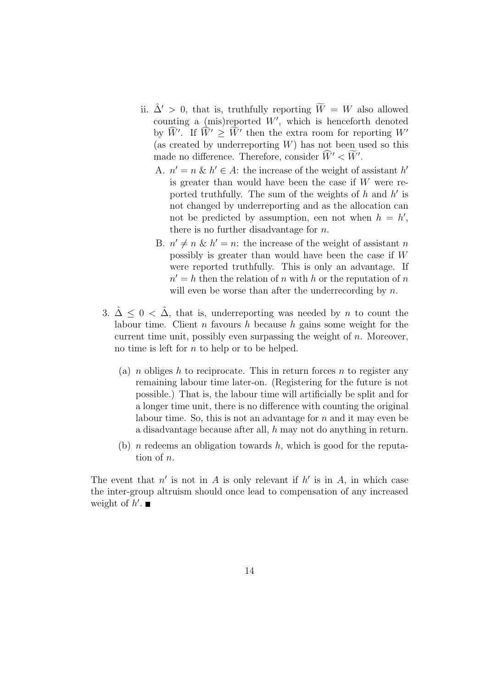- ii.  $\hat{\Delta}' > 0$ , that is, truthfully reporting  $\widetilde{W} = W$  also allowed counting a (mis)reported  $W'$ , which is henceforth denoted by  $\widehat{W}'$ . If  $\widehat{W}' \geq \widetilde{W}'$  then the extra room for reporting  $W'$ (as created by underreporting  $W$ ) has not been used so this made no difference. Therefore, consider  $\widehat{W}' < \widetilde{W}'$ .
	- A.  $n' = n \& k' \in A$ : the increase of the weight of assistant h' is greater than would have been the case if  $W$  were reported truthfully. The sum of the weights of  $h$  and  $h'$  is not changed by underreporting and as the allocation can not be predicted by assumption, een not when  $h = h'$ , there is no further disadvantage for  $n$ .
	- B.  $n' \neq n \& k' = n$ : the increase of the weight of assistant n possibly is greater than would have been the case if W were reported truthfully. This is only an advantage. If  $n' = h$  then the relation of n with h or the reputation of n will even be worse than after the underrecording by  $n$ .
- 3.  $\hat{\Delta} \leq 0 < \tilde{\Delta}$ , that is, underreporting was needed by *n* to count the labour time. Client n favours h because h gains some weight for the current time unit, possibly even surpassing the weight of  $n$ . Moreover, no time is left for  $n$  to help or to be helped.
	- (a) *n* obliges h to reciprocate. This in return forces n to register any remaining labour time later-on. (Registering for the future is not possible.) That is, the labour time will artificially be split and for a longer time unit, there is no difference with counting the original labour time. So, this is not an advantage for  $n$  and it may even be a disadvantage because after all, h may not do anything in return.
	- (b) *n* redeems an obligation towards h, which is good for the reputation of n.

The event that  $n'$  is not in A is only relevant if  $h'$  is in A, in which case the inter-group altruism should once lead to compensation of any increased weight of  $h'$ .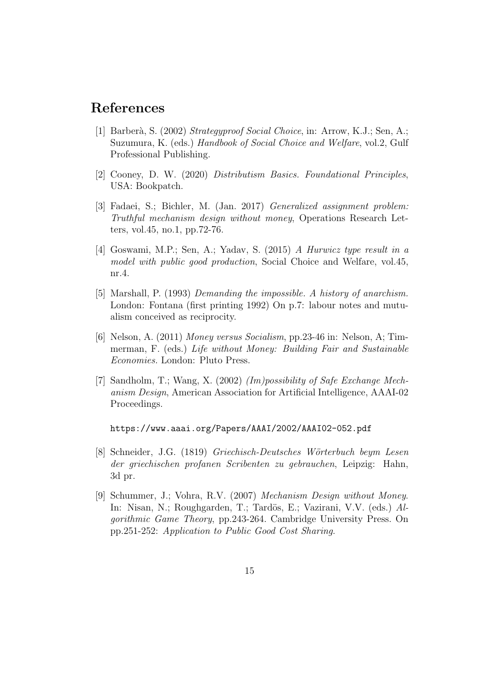### References

- [1] Barberà, S. (2002) Strategyproof Social Choice, in: Arrow, K.J.; Sen, A.; Suzumura, K. (eds.) Handbook of Social Choice and Welfare, vol.2, Gulf Professional Publishing.
- [2] Cooney, D. W. (2020) Distributism Basics. Foundational Principles, USA: Bookpatch.
- [3] Fadaei, S.; Bichler, M. (Jan. 2017) Generalized assignment problem: Truthful mechanism design without money, Operations Research Letters, vol.45, no.1, pp.72-76.
- [4] Goswami, M.P.; Sen, A.; Yadav, S. (2015) A Hurwicz type result in a model with public good production, Social Choice and Welfare, vol.45, nr.4.
- [5] Marshall, P. (1993) Demanding the impossible. A history of anarchism. London: Fontana (first printing 1992) On p.7: labour notes and mutualism conceived as reciprocity.
- [6] Nelson, A. (2011) Money versus Socialism, pp.23-46 in: Nelson, A; Timmerman, F. (eds.) Life without Money: Building Fair and Sustainable Economies. London: Pluto Press.
- [7] Sandholm, T.; Wang, X. (2002) (Im)possibility of Safe Exchange Mechanism Design, American Association for Artificial Intelligence, AAAI-02 Proceedings.

https://www.aaai.org/Papers/AAAI/2002/AAAI02-052.pdf

- [8] Schneider, J.G. (1819) Griechisch-Deutsches Wörterbuch beym Lesen der griechischen profanen Scribenten zu gebrauchen, Leipzig: Hahn, 3d pr.
- [9] Schummer, J.; Vohra, R.V. (2007) Mechanism Design without Money. In: Nisan, N.; Roughgarden, T.; Tardös, E.; Vazirani, V.V. (eds.) Algorithmic Game Theory, pp.243-264. Cambridge University Press. On pp.251-252: Application to Public Good Cost Sharing.